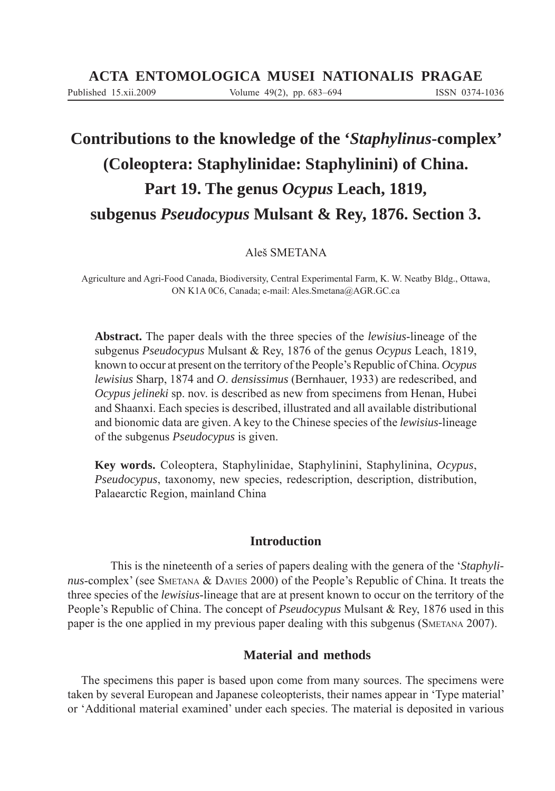# **Contributions to the knowledge of the '***Staphylinus***-complex' (Coleoptera: Staphylinidae: Staphylinini) of China. Part 19. The genus** *Ocypus* **Leach, 1819, subgenus** *Pseudocypus* **Mulsant & Rey, 1876. Section 3.**

Aleš SMETANA

Agriculture and Agri-Food Canada, Biodiversity, Central Experimental Farm, K. W. Neatby Bldg., Ottawa, ON K1A 0C6, Canada; e-mail: Ales.Smetana@AGR.GC.ca

**Abstract.** The paper deals with the three species of the *lewisius*-lineage of the subgenus *Pseudocypus* Mulsant & Rey, 1876 of the genus *Ocypus* Leach, 1819, known to occur at present on the territory of the People's Republic of China. *Ocypus lewisius* Sharp, 1874 and *O*. *densissimus* (Bernhauer, 1933) are redescribed, and *Ocypus jelineki* sp. nov. is described as new from specimens from Henan, Hubei and Shaanxi. Each species is described, illustrated and all available distributional and bionomic data are given. A key to the Chinese species of the *lewisius*-lineage of the subgenus *Pseudocypus* is given.

**Key words.** Coleoptera, Staphylinidae, Staphylinini, Staphylinina, *Ocypus*, *Pseudocypus*, taxonomy, new species, redescription, description, distribution, Palaearctic Region, mainland China

## **Introduction**

 This is the nineteenth of a series of papers dealing with the genera of the '*Staphylinus*-complex' (see SMETANA & DAVIES 2000) of the People's Republic of China. It treats the three species of the *lewisius*-lineage that are at present known to occur on the territory of the People's Republic of China. The concept of *Pseudocypus* Mulsant & Rey, 1876 used in this paper is the one applied in my previous paper dealing with this subgenus (SMETANA 2007).

# **Material and methods**

The specimens this paper is based upon come from many sources. The specimens were taken by several European and Japanese coleopterists, their names appear in 'Type material' or 'Additional material examined' under each species. The material is deposited in various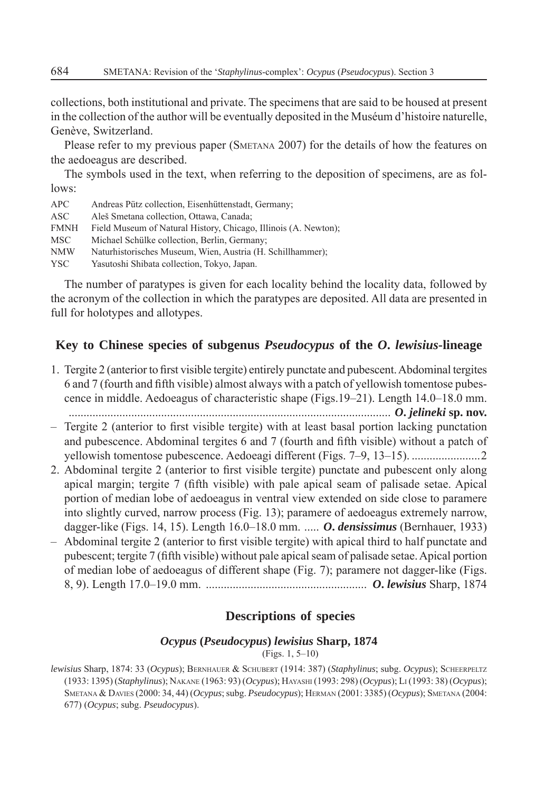collections, both institutional and private. The specimens that are said to be housed at present in the collection of the author will be eventually deposited in the Muséum d'histoire naturelle, Genève, Switzerland.

Please refer to my previous paper (SMETANA 2007) for the details of how the features on the aedoeagus are described.

The symbols used in the text, when referring to the deposition of specimens, are as follows:

| <b>APC</b>  | Andreas Pütz collection, Eisenhüttenstadt, Germany;             |
|-------------|-----------------------------------------------------------------|
| ASC.        | Aleš Smetana collection, Ottawa, Canada;                        |
| <b>FMNH</b> | Field Museum of Natural History, Chicago, Illinois (A. Newton); |
| MSC .       | Michael Schülke collection, Berlin, Germany;                    |
| <b>NMW</b>  | Naturhistorisches Museum, Wien, Austria (H. Schillhammer);      |
| YSC.        | Yasutoshi Shibata collection, Tokyo, Japan.                     |

The number of paratypes is given for each locality behind the locality data, followed by the acronym of the collection in which the paratypes are deposited. All data are presented in full for holotypes and allotypes.

## **Key to Chinese species of subgenus** *Pseudocypus* **of the** *O***.** *lewisius***-lineage**

- 1. Tergite 2 (anterior to first visible tergite) entirely punctate and pubescent. Abdominal tergites 6 and 7 (fourth and fi fth visible) almost always with a patch of yellowish tomentose pubescence in middle. Aedoeagus of characteristic shape (Figs.19–21). Length 14.0–18.0 mm. ............................................................................................................ *O***.** *jelineki* **sp. nov.**
- $-$  Tergite 2 (anterior to first visible tergite) with at least basal portion lacking punctation and pubescence. Abdominal tergites 6 and 7 (fourth and fifth visible) without a patch of yellowish tomentose pubescence. Aedoeagi different (Figs. 7–9, 13–15). .......................2
- 2. Abdominal tergite 2 (anterior to first visible tergite) punctate and pubescent only along apical margin; tergite 7 (fifth visible) with pale apical seam of palisade setae. Apical portion of median lobe of aedoeagus in ventral view extended on side close to paramere into slightly curved, narrow process (Fig. 13); paramere of aedoeagus extremely narrow, dagger-like (Figs. 14, 15). Length 16.0–18.0 mm. ..... *O***.** *densissimus* (Bernhauer, 1933)
- $-$  Abdominal tergite 2 (anterior to first visible tergite) with apical third to half punctate and pubescent; tergite 7 (fifth visible) without pale apical seam of palisade setae. Apical portion of median lobe of aedoeagus of different shape (Fig. 7); paramere not dagger-like (Figs. 8, 9). Length 17.0–19.0 mm. ...................................................... *O***.** *lewisius* Sharp, 1874

## **Descriptions of species**

#### *Ocypus* **(***Pseudocypus***)** *lewisius* **Sharp, 1874**

(Figs. 1, 5–10)

*lewisius* Sharp, 1874: 33 (*Ocypus*); BERNHAUER & SCHUBERT (1914: 387) (*Staphylinus*; subg. *Ocypus*); SCHEERPELTZ (1933: 1395) (*Staphylinus*); NAKANE (1963: 93) (*Ocypus*); HAYASHI (1993: 298) (*Ocypus*); LI (1993: 38) (*Ocypus*); SMETANA & DAVIES (2000: 34, 44) (*Ocypus*; subg. *Pseudocypus*); HERMAN (2001: 3385) (*Ocypus*); SMETANA (2004: 677) (*Ocypus*; subg. *Pseudocypus*).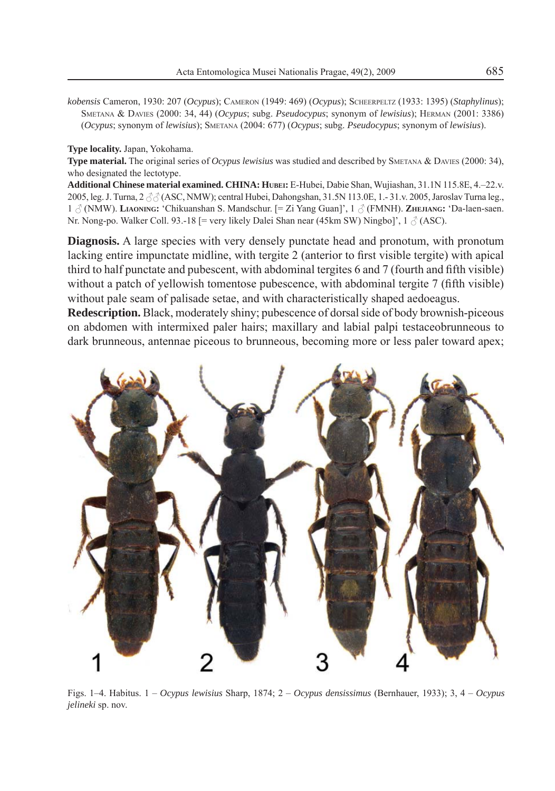*kobensis* Cameron, 1930: 207 (*Ocypus*); CAMERON (1949: 469) (*Ocypus*); SCHEERPELTZ (1933: 1395) (*Staphylinus*); SMETANA & DAVIES (2000: 34, 44) (*Ocypus*; subg. *Pseudocypus*; synonym of *lewisius*); HERMAN (2001: 3386) (*Ocypus*; synonym of *lewisius*); SMETANA (2004: 677) (*Ocypus*; subg. *Pseudocypus*; synonym of *lewisius*).

**Type locality.** Japan, Yokohama.

**Type material.** The original series of *Ocypus lewisius* was studied and described by SMETANA & DAVIES (2000: 34), who designated the lectotype.

**Additional Chinese material examined. CHINA: HUBEI:** E-Hubei, Dabie Shan, Wujiashan, 31.1N 115.8E, 4–22.v. 2005, leg. J. Turna,  $2 \text{ } \partial \partial \text{ } (ASC, NMW)$ ; central Hubei, Dahongshan, 31.5N 113.0E, 1.-31.v. 2005, Jaroslav Turna leg., 1 (NMW). **LIAONING:** 'Chikuanshan S. Mandschur. [= Zi Yang Guan]', 1 (FMNH). **ZHEJIANG:** 'Da-laen-saen. Nr. Nong-po. Walker Coll. 93.-18 [= very likely Dalei Shan near (45km SW) Ningbo]',  $1 \beta$  (ASC).

**Diagnosis.** A large species with very densely punctate head and pronotum, with pronotum lacking entire impunctate midline, with tergite 2 (anterior to first visible tergite) with apical third to half punctate and pubescent, with abdominal tergites  $6$  and  $7$  (fourth and fifth visible) without a patch of yellowish tomentose pubescence, with abdominal tergite  $7$  (fifth visible) without pale seam of palisade setae, and with characteristically shaped aedoeagus.

**Redescription.** Black, moderately shiny; pubescence of dorsal side of body brownish-piceous on abdomen with intermixed paler hairs; maxillary and labial palpi testaceobrunneous to dark brunneous, antennae piceous to brunneous, becoming more or less paler toward apex;



Figs. 1–4. Habitus. 1 – *Ocypus lewisius* Sharp, 1874; 2 – *Ocypus densissimus* (Bernhauer, 1933); 3, 4 – *Ocypus jelineki* sp. nov.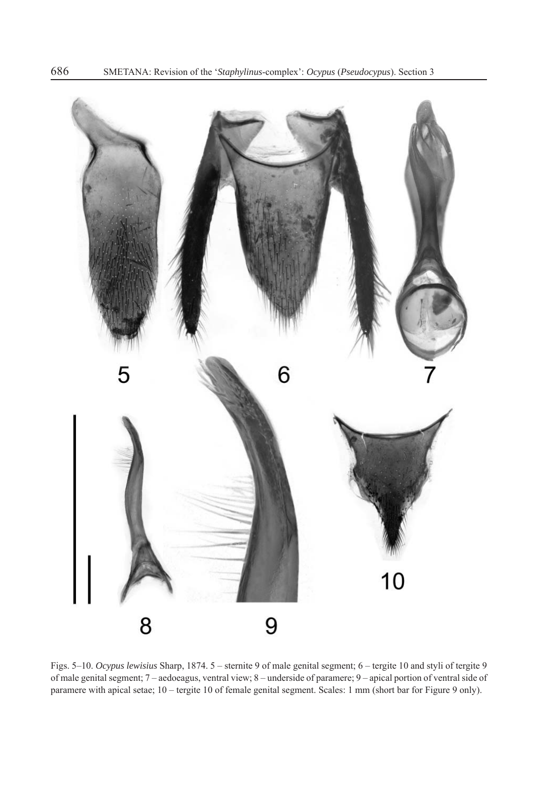

Figs. 5–10. *Ocypus lewisius* Sharp, 1874. 5 – sternite 9 of male genital segment; 6 – tergite 10 and styli of tergite 9 of male genital segment; 7 – aedoeagus, ventral view; 8 – underside of paramere; 9 – apical portion of ventral side of paramere with apical setae; 10 – tergite 10 of female genital segment. Scales: 1 mm (short bar for Figure 9 only).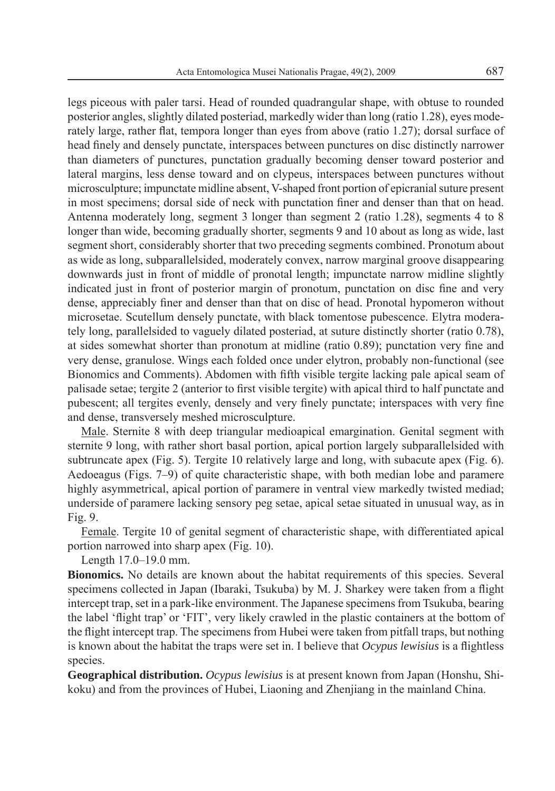legs piceous with paler tarsi. Head of rounded quadrangular shape, with obtuse to rounded posterior angles, slightly dilated posteriad, markedly wider than long (ratio 1.28), eyes moderately large, rather flat, tempora longer than eyes from above (ratio 1.27); dorsal surface of head finely and densely punctate, interspaces between punctures on disc distinctly narrower than diameters of punctures, punctation gradually becoming denser toward posterior and lateral margins, less dense toward and on clypeus, interspaces between punctures without microsculpture; impunctate midline absent, V-shaped front portion of epicranial suture present in most specimens; dorsal side of neck with punctation finer and denser than that on head. Antenna moderately long, segment 3 longer than segment 2 (ratio 1.28), segments 4 to 8 longer than wide, becoming gradually shorter, segments 9 and 10 about as long as wide, last segment short, considerably shorter that two preceding segments combined. Pronotum about as wide as long, subparallelsided, moderately convex, narrow marginal groove disappearing downwards just in front of middle of pronotal length; impunctate narrow midline slightly indicated just in front of posterior margin of pronotum, punctation on disc fine and very dense, appreciably finer and denser than that on disc of head. Pronotal hypomeron without microsetae. Scutellum densely punctate, with black tomentose pubescence. Elytra moderately long, parallelsided to vaguely dilated posteriad, at suture distinctly shorter (ratio 0.78), at sides somewhat shorter than pronotum at midline (ratio  $(0.89)$ ); punctation very fine and very dense, granulose. Wings each folded once under elytron, probably non-functional (see Bionomics and Comments). Abdomen with fifth visible tergite lacking pale apical seam of palisade setae; tergite 2 (anterior to first visible tergite) with apical third to half punctate and pubescent; all tergites evenly, densely and very finely punctate; interspaces with very fine and dense, transversely meshed microsculpture.

Male. Sternite 8 with deep triangular medioapical emargination. Genital segment with sternite 9 long, with rather short basal portion, apical portion largely subparallelsided with subtruncate apex (Fig. 5). Tergite 10 relatively large and long, with subacute apex (Fig. 6). Aedoeagus (Figs. 7–9) of quite characteristic shape, with both median lobe and paramere highly asymmetrical, apical portion of paramere in ventral view markedly twisted mediad; underside of paramere lacking sensory peg setae, apical setae situated in unusual way, as in Fig. 9.

Female. Tergite 10 of genital segment of characteristic shape, with differentiated apical portion narrowed into sharp apex (Fig. 10).

Length 17.0–19.0 mm.

**Bionomics.** No details are known about the habitat requirements of this species. Several specimens collected in Japan (Ibaraki, Tsukuba) by M. J. Sharkey were taken from a flight intercept trap, set in a park-like environment. The Japanese specimens from Tsukuba, bearing the label 'flight trap' or 'FIT', very likely crawled in the plastic containers at the bottom of the flight intercept trap. The specimens from Hubei were taken from pitfall traps, but nothing is known about the habitat the traps were set in. I believe that *Ocypus lewisius* is a flightless species.

**Geographical distribution.** *Ocypus lewisius* is at present known from Japan (Honshu, Shikoku) and from the provinces of Hubei, Liaoning and Zhenjiang in the mainland China.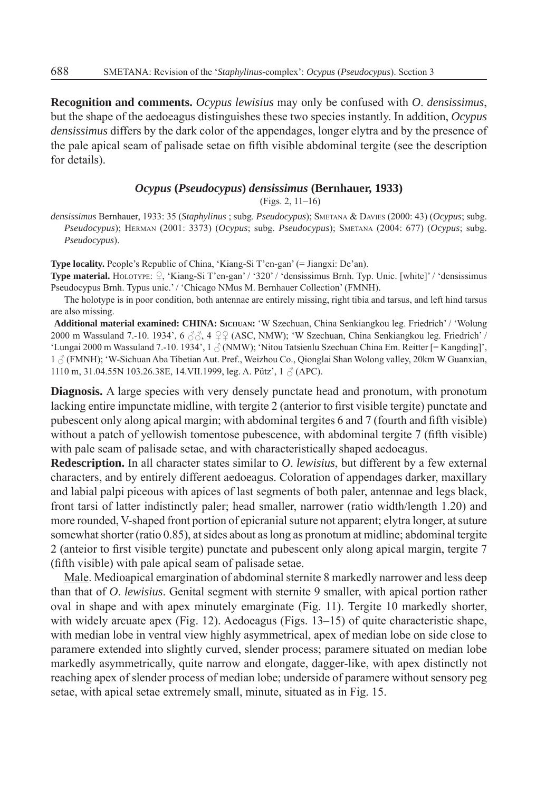**Recognition and comments.** *Ocypus lewisius* may only be confused with *O*. *densissimus*, but the shape of the aedoeagus distinguishes these two species instantly. In addition, *Ocypus densissimus* differs by the dark color of the appendages, longer elytra and by the presence of the pale apical seam of palisade setae on fifth visible abdominal tergite (see the description for details).

## *Ocypus* **(***Pseudocypus***)** *densissimus* **(Bernhauer, 1933)**

(Figs. 2, 11–16)

*densissimus* Bernhauer, 1933: 35 (*Staphylinus* ; subg. *Pseudocypus*); SMETANA & DAVIES (2000: 43) (*Ocypus*; subg. *Pseudocypus*); HERMAN (2001: 3373) (*Ocypus*; subg. *Pseudocypus*); SMETANA (2004: 677) (*Ocypus*; subg. *Pseudocypus*).

**Type locality.** People's Republic of China, 'Kiang-Si T'en-gan' (= Jiangxi: De'an).

**Type material.** HOLOTYPE:  $\varphi$ , 'Kiang-Si T'en-gan' / '320' / 'densissimus Brnh. Typ. Unic. [white]' / 'densissimus Pseudocypus Brnh. Typus unic.' / 'Chicago NMus M. Bernhauer Collection' (FMNH).

The holotype is in poor condition, both antennae are entirely missing, right tibia and tarsus, and left hind tarsus are also missing.

**Additional material examined: CHINA: SICHUAN:** 'W Szechuan, China Senkiangkou leg. Friedrich' / 'Wolung 2000 m Wassuland 7.-10. 1934',  $6 \text{ } \textcircled{3}$ ,  $4 \text{ } \textcircled{4}$  (ASC, NMW); 'W Szechuan, China Senkiangkou leg. Friedrich' / 'Lungai 2000 m Wassuland 7.-10. 1934', 1  $\beta$  (NMW); 'Nitou Tatsienlu Szechuan China Em. Reitter [= Kangding]', 1  $\beta$  (FMNH); 'W-Sichuan Aba Tibetian Aut. Pref., Weizhou Co., Qionglai Shan Wolong valley, 20km W Guanxian, 1110 m, 31.04.55N 103.26.38E, 14.VII.1999, leg. A. Pütz',  $1 \text{ } \textcircled$  (APC).

**Diagnosis.** A large species with very densely punctate head and pronotum, with pronotum lacking entire impunctate midline, with tergite 2 (anterior to first visible tergite) punctate and pubescent only along apical margin; with abdominal tergites 6 and 7 (fourth and fifth visible) without a patch of yellowish tomentose pubescence, with abdominal tergite  $7$  (fifth visible) with pale seam of palisade setae, and with characteristically shaped aedoeagus.

**Redescription.** In all character states similar to *O*. *lewisius*, but different by a few external characters, and by entirely different aedoeagus. Coloration of appendages darker, maxillary and labial palpi piceous with apices of last segments of both paler, antennae and legs black, front tarsi of latter indistinctly paler; head smaller, narrower (ratio width/length 1.20) and more rounded, V-shaped front portion of epicranial suture not apparent; elytra longer, at suture somewhat shorter (ratio 0.85), at sides about as long as pronotum at midline; abdominal tergite 2 (anteior to first visible tergite) punctate and pubescent only along apical margin, tergite 7 (fifth visible) with pale apical seam of palisade setae.

Male. Medioapical emargination of abdominal sternite 8 markedly narrower and less deep than that of *O*. *lewisius*. Genital segment with sternite 9 smaller, with apical portion rather oval in shape and with apex minutely emarginate (Fig. 11). Tergite 10 markedly shorter, with widely arcuate apex (Fig. 12). Aedoeagus (Figs. 13–15) of quite characteristic shape, with median lobe in ventral view highly asymmetrical, apex of median lobe on side close to paramere extended into slightly curved, slender process; paramere situated on median lobe markedly asymmetrically, quite narrow and elongate, dagger-like, with apex distinctly not reaching apex of slender process of median lobe; underside of paramere without sensory peg setae, with apical setae extremely small, minute, situated as in Fig. 15.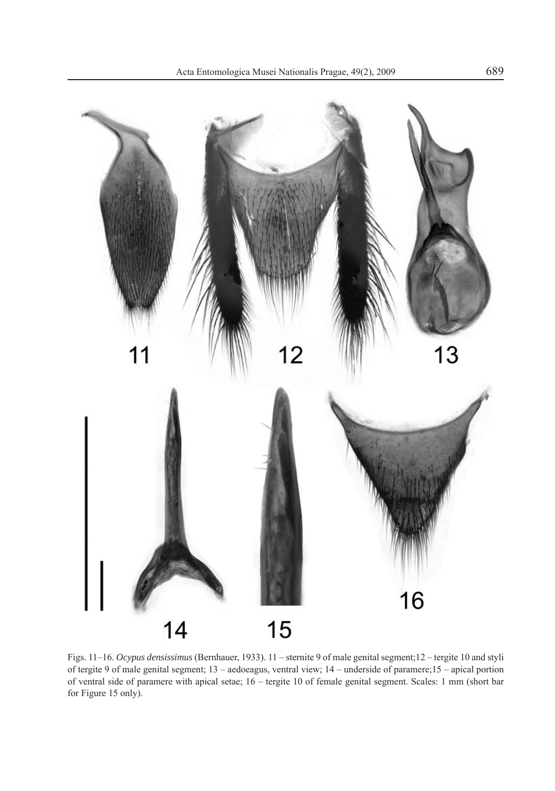

Figs. 11–16. *Ocypus densissimus* (Bernhauer, 1933). 11 – sternite 9 of male genital segment;12 – tergite 10 and styli of tergite 9 of male genital segment; 13 – aedoeagus, ventral view; 14 – underside of paramere;15 – apical portion of ventral side of paramere with apical setae; 16 – tergite 10 of female genital segment. Scales: 1 mm (short bar for Figure 15 only).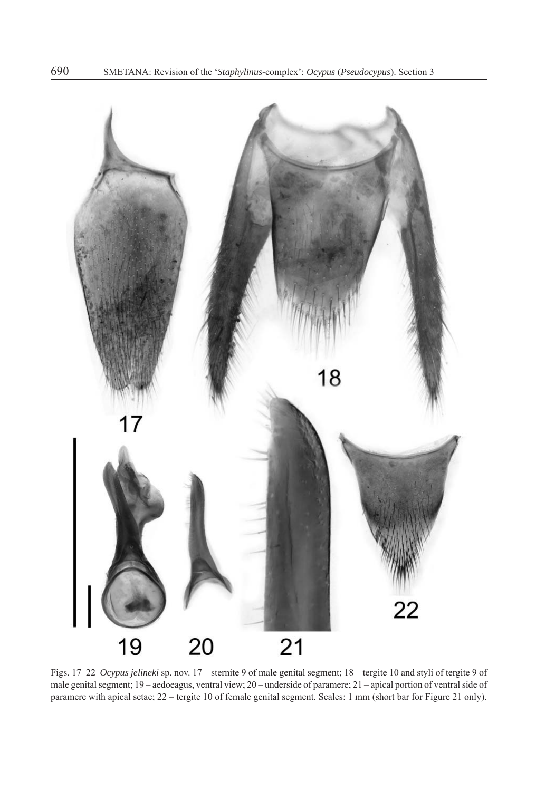

Figs. 17–22 *Ocypus jelineki* sp. nov. 17 – sternite 9 of male genital segment; 18 – tergite 10 and styli of tergite 9 of male genital segment; 19 – aedoeagus, ventral view; 20 – underside of paramere; 21 – apical portion of ventral side of paramere with apical setae; 22 – tergite 10 of female genital segment. Scales: 1 mm (short bar for Figure 21 only).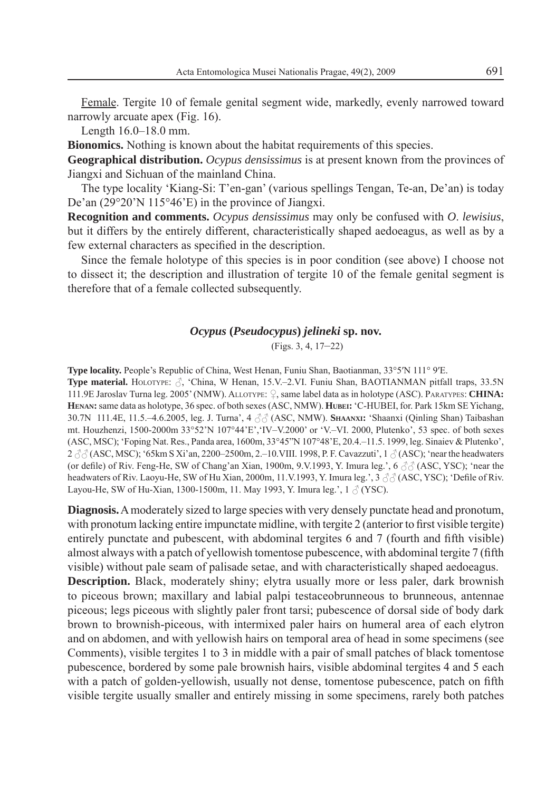Female. Tergite 10 of female genital segment wide, markedly, evenly narrowed toward narrowly arcuate apex (Fig. 16).

Length 16.0–18.0 mm.

**Bionomics.** Nothing is known about the habitat requirements of this species.

**Geographical distribution.** *Ocypus densissimus* is at present known from the provinces of Jiangxi and Sichuan of the mainland China.

The type locality 'Kiang-Si: T'en-gan' (various spellings Tengan, Te-an, De'an) is today De'an (29°20'N 115°46'E) in the province of Jiangxi.

**Recognition and comments.** *Ocypus densissimus* may only be confused with *O*. *lewisius*, but it differs by the entirely different, characteristically shaped aedoeagus, as well as by a few external characters as specified in the description.

Since the female holotype of this species is in poor condition (see above) I choose not to dissect it; the description and illustration of tergite 10 of the female genital segment is therefore that of a female collected subsequently.

## *Ocypus* **(***Pseudocypus***)** *jelineki* **sp. nov.**

(Figs. 3, 4, 17–22)

**Type locality.** People's Republic of China, West Henan, Funiu Shan, Baotianman, 33°5′N 111° 9′E.

**Type material.** HOLOTYPE:  $\beta$ , 'China, W Henan, 15.V.–2.VI. Funiu Shan, BAOTIANMAN pitfall traps, 33.5N 111.9E Jaroslav Turna leg. 2005' (NMW). ALLOTYPE:  $\Omega$ , same label data as in holotype (ASC). PARATYPES: **CHINA: HENAN:** same data as holotype, 36 spec. of both sexes (ASC, NMW). **HUBEI:** 'C-HUBEI, for. Park 15km SE Yichang, 30.7N 111.4E, 11.5.–4.6.2005, leg. J. Turna', 4  $\text{A}$  ∧ (ASC, NMW). **SHAANXI:** 'Shaanxi (Qinling Shan) Taibashan mt. Houzhenzi, 1500-2000m 33°52'N 107°44'E','IV–V.2000' or 'V.–VI. 2000, Plutenko', 53 spec. of both sexes (ASC, MSC); 'Foping Nat. Res., Panda area, 1600m, 33°45"N 107°48'E, 20.4.–11.5. 1999, leg. Sinaiev & Plutenko', 2  $\partial$  (ASC, MSC); '65km S Xi'an, 2200–2500m, 2.–10.VIII. 1998, P. F. Cavazzuti', 1  $\partial$  (ASC); 'near the headwaters (or defile) of Riv. Feng-He, SW of Chang'an Xian, 1900m, 9.V.1993, Y. Imura leg.', 6  $\partial \partial$  (ASC, YSC); 'near the headwaters of Riv. Laoyu-He, SW of Hu Xian, 2000m, 11.V.1993, Y. Imura leg.', 3  $\partial \partial$  (ASC, YSC); 'Defile of Riv. Layou-He, SW of Hu-Xian, 1300-1500m, 11. May 1993, Y. Imura leg.',  $1 \land (YSC)$ .

**Diagnosis.** A moderately sized to large species with very densely punctate head and pronotum, with pronotum lacking entire impunctate midline, with tergite 2 (anterior to first visible tergite) entirely punctate and pubescent, with abdominal tergites  $6$  and  $7$  (fourth and fifth visible) almost always with a patch of yellowish tomentose pubescence, with abdominal tergite 7 (fifth visible) without pale seam of palisade setae, and with characteristically shaped aedoeagus.

**Description.** Black, moderately shiny; elytra usually more or less paler, dark brownish to piceous brown; maxillary and labial palpi testaceobrunneous to brunneous, antennae piceous; legs piceous with slightly paler front tarsi; pubescence of dorsal side of body dark brown to brownish-piceous, with intermixed paler hairs on humeral area of each elytron and on abdomen, and with yellowish hairs on temporal area of head in some specimens (see Comments), visible tergites 1 to 3 in middle with a pair of small patches of black tomentose pubescence, bordered by some pale brownish hairs, visible abdominal tergites 4 and 5 each with a patch of golden-yellowish, usually not dense, tomentose pubescence, patch on fifth visible tergite usually smaller and entirely missing in some specimens, rarely both patches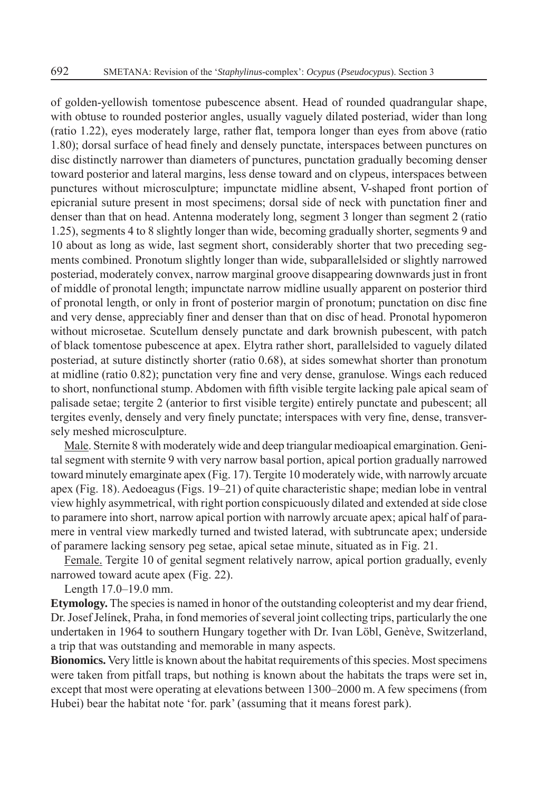of golden-yellowish tomentose pubescence absent. Head of rounded quadrangular shape, with obtuse to rounded posterior angles, usually vaguely dilated posteriad, wider than long (ratio 1.22), eyes moderately large, rather flat, tempora longer than eyes from above (ratio 1.80); dorsal surface of head finely and densely punctate, interspaces between punctures on disc distinctly narrower than diameters of punctures, punctation gradually becoming denser toward posterior and lateral margins, less dense toward and on clypeus, interspaces between punctures without microsculpture; impunctate midline absent, V-shaped front portion of epicranial suture present in most specimens; dorsal side of neck with punctation finer and denser than that on head. Antenna moderately long, segment 3 longer than segment 2 (ratio 1.25), segments 4 to 8 slightly longer than wide, becoming gradually shorter, segments 9 and 10 about as long as wide, last segment short, considerably shorter that two preceding segments combined. Pronotum slightly longer than wide, subparallelsided or slightly narrowed posteriad, moderately convex, narrow marginal groove disappearing downwards just in front of middle of pronotal length; impunctate narrow midline usually apparent on posterior third of pronotal length, or only in front of posterior margin of pronotum; punctation on disc fine and very dense, appreciably finer and denser than that on disc of head. Pronotal hypomeron without microsetae. Scutellum densely punctate and dark brownish pubescent, with patch of black tomentose pubescence at apex. Elytra rather short, parallelsided to vaguely dilated posteriad, at suture distinctly shorter (ratio 0.68), at sides somewhat shorter than pronotum at midline (ratio  $0.82$ ); punctation very fine and very dense, granulose. Wings each reduced to short, nonfunctional stump. Abdomen with fifth visible tergite lacking pale apical seam of palisade setae; tergite 2 (anterior to first visible tergite) entirely punctate and pubescent; all tergites evenly, densely and very finely punctate; interspaces with very fine, dense, transversely meshed microsculpture.

Male. Sternite 8 with moderately wide and deep triangular medioapical emargination. Genital segment with sternite 9 with very narrow basal portion, apical portion gradually narrowed toward minutely emarginate apex (Fig. 17). Tergite 10 moderately wide, with narrowly arcuate apex (Fig. 18). Aedoeagus (Figs. 19–21) of quite characteristic shape; median lobe in ventral view highly asymmetrical, with right portion conspicuously dilated and extended at side close to paramere into short, narrow apical portion with narrowly arcuate apex; apical half of paramere in ventral view markedly turned and twisted laterad, with subtruncate apex; underside of paramere lacking sensory peg setae, apical setae minute, situated as in Fig. 21.

Female. Tergite 10 of genital segment relatively narrow, apical portion gradually, evenly narrowed toward acute apex (Fig. 22).

Length 17.0–19.0 mm.

**Etymology.** The species is named in honor of the outstanding coleopterist and my dear friend, Dr. Josef Jelínek, Praha, in fond memories of several joint collecting trips, particularly the one undertaken in 1964 to southern Hungary together with Dr. Ivan Löbl, Genève, Switzerland, a trip that was outstanding and memorable in many aspects.

**Bionomics.** Very little is known about the habitat requirements of this species. Most specimens were taken from pitfall traps, but nothing is known about the habitats the traps were set in, except that most were operating at elevations between 1300–2000 m. A few specimens (from Hubei) bear the habitat note 'for. park' (assuming that it means forest park).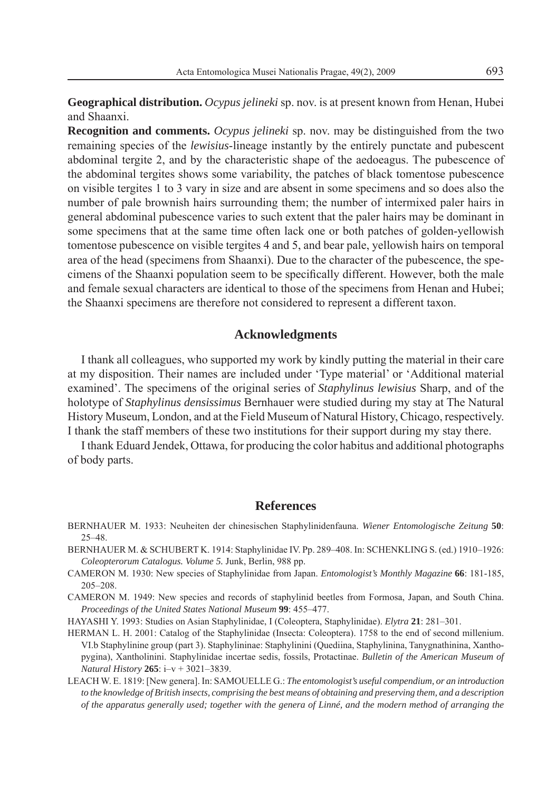**Geographical distribution.** *Ocypus jelineki* sp. nov. is at present known from Henan, Hubei and Shaanxi.

**Recognition and comments.** *Ocypus jelineki* sp. nov. may be distinguished from the two remaining species of the *lewisius*-lineage instantly by the entirely punctate and pubescent abdominal tergite 2, and by the characteristic shape of the aedoeagus. The pubescence of the abdominal tergites shows some variability, the patches of black tomentose pubescence on visible tergites 1 to 3 vary in size and are absent in some specimens and so does also the number of pale brownish hairs surrounding them; the number of intermixed paler hairs in general abdominal pubescence varies to such extent that the paler hairs may be dominant in some specimens that at the same time often lack one or both patches of golden-yellowish tomentose pubescence on visible tergites 4 and 5, and bear pale, yellowish hairs on temporal area of the head (specimens from Shaanxi). Due to the character of the pubescence, the specimens of the Shaanxi population seem to be specifically different. However, both the male and female sexual characters are identical to those of the specimens from Henan and Hubei; the Shaanxi specimens are therefore not considered to represent a different taxon.

## **Acknowledgments**

I thank all colleagues, who supported my work by kindly putting the material in their care at my disposition. Their names are included under 'Type material' or 'Additional material examined'. The specimens of the original series of *Staphylinus lewisius* Sharp, and of the holotype of *Staphylinus densissimus* Bernhauer were studied during my stay at The Natural History Museum, London, and at the Field Museum of Natural History, Chicago, respectively. I thank the staff members of these two institutions for their support during my stay there.

I thank Eduard Jendek, Ottawa, for producing the color habitus and additional photographs of body parts.

## **References**

- BERNHAUER M. 1933: Neuheiten der chinesischen Staphylinidenfauna. *Wiener Entomologische Zeitung* **50**: 25–48.
- BERNHAUER M. & SCHUBERT K. 1914: Staphylinidae IV. Pp. 289–408. In: SCHENKLING S. (ed.) 1910–1926: *Coleopterorum Catalogus. Volume 5.* Junk, Berlin, 988 pp.
- CAMERON M. 1930: New species of Staphylinidae from Japan. *Entomologist's Monthly Magazine* **66**: 181-185, 205–208.
- CAMERON M. 1949: New species and records of staphylinid beetles from Formosa, Japan, and South China. *Proceedings of the United States National Museum* **99**: 455–477.

HAYASHI Y. 1993: Studies on Asian Staphylinidae, I (Coleoptera, Staphylinidae). *Elytra* **21**: 281–301.

- HERMAN L. H. 2001: Catalog of the Staphylinidae (Insecta: Coleoptera). 1758 to the end of second millenium. VI.b Staphylinine group (part 3). Staphylininae: Staphylinini (Quediina, Staphylinina, Tanygnathinina, Xanthopygina), Xantholinini. Staphylinidae incertae sedis, fossils, Protactinae. *Bulletin of the American Museum of Natural History* **265**: i–v + 3021–3839.
- LEACH W. E. 1819: [New genera]. In: SAMOUELLE G.: *The entomologist's useful compendium, or an introduction to the knowledge of British insects, comprising the best means of obtaining and preserving them, and a description of the apparatus generally used; together with the genera of Linné, and the modern method of arranging the*